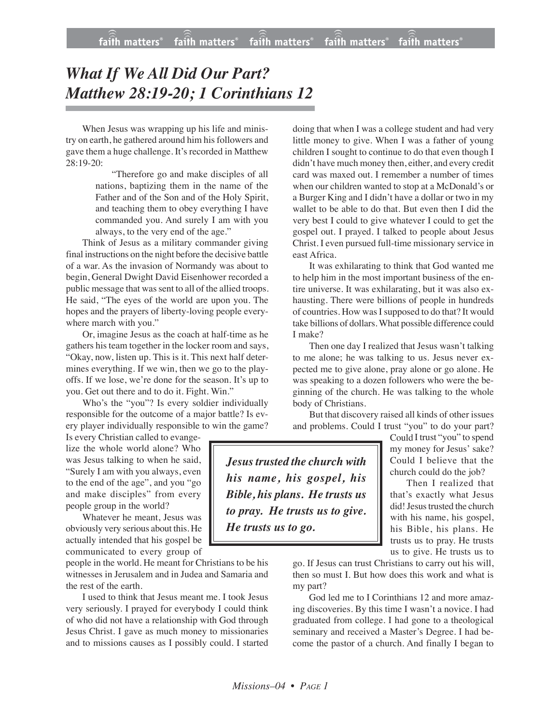## *What If We All Did Our Part? Matthew 28:19-20; 1 Corinthians 12*

When Jesus was wrapping up his life and ministry on earth, he gathered around him his followers and gave them a huge challenge. It's recorded in Matthew 28:19-20:

> "Therefore go and make disciples of all nations, baptizing them in the name of the Father and of the Son and of the Holy Spirit, and teaching them to obey everything I have commanded you. And surely I am with you always, to the very end of the age."

Think of Jesus as a military commander giving final instructions on the night before the decisive battle of a war. As the invasion of Normandy was about to begin, General Dwight David Eisenhower recorded a public message that was sent to all of the allied troops. He said, "The eyes of the world are upon you. The hopes and the prayers of liberty-loving people everywhere march with you."

Or, imagine Jesus as the coach at half-time as he gathers his team together in the locker room and says, "Okay, now, listen up. This is it. This next half determines everything. If we win, then we go to the playoffs. If we lose, we're done for the season. It's up to you. Get out there and to do it. Fight. Win."

Who's the "you"? Is every soldier individually responsible for the outcome of a major battle? Is every player individually responsible to win the game?

Is every Christian called to evangelize the whole world alone? Who was Jesus talking to when he said, "Surely I am with you always, even to the end of the age", and you "go and make disciples" from every people group in the world?

Whatever he meant, Jesus was obviously very serious about this. He actually intended that his gospel be communicated to every group of

people in the world. He meant for Christians to be his witnesses in Jerusalem and in Judea and Samaria and the rest of the earth.

I used to think that Jesus meant me. I took Jesus very seriously. I prayed for everybody I could think of who did not have a relationship with God through Jesus Christ. I gave as much money to missionaries and to missions causes as I possibly could. I started

doing that when I was a college student and had very little money to give. When I was a father of young children I sought to continue to do that even though I didn't have much money then, either, and every credit card was maxed out. I remember a number of times when our children wanted to stop at a McDonald's or a Burger King and I didn't have a dollar or two in my wallet to be able to do that. But even then I did the very best I could to give whatever I could to get the gospel out. I prayed. I talked to people about Jesus Christ. I even pursued full-time missionary service in east Africa.

It was exhilarating to think that God wanted me to help him in the most important business of the entire universe. It was exhilarating, but it was also exhausting. There were billions of people in hundreds of countries. How was I supposed to do that? It would take billions of dollars.What possible difference could I make?

Then one day I realized that Jesus wasn't talking to me alone; he was talking to us. Jesus never expected me to give alone, pray alone or go alone. He was speaking to a dozen followers who were the beginning of the church. He was talking to the whole body of Christians.

But that discovery raised all kinds of other issues and problems. Could I trust "you" to do your part?

*Jesustrusted the church with his name, his gospel, his Bible, his plans. He trusts us to pray. He trusts us to give. He trusts us to go.*

Could I trust "you" to spend my money for Jesus' sake? Could I believe that the church could do the job?

Then I realized that that's exactly what Jesus did! Jesus trusted the church with his name, his gospel, his Bible, his plans. He trusts us to pray. He trusts us to give. He trusts us to

go. If Jesus can trust Christians to carry out his will, then so must I. But how does this work and what is my part?

God led me to I Corinthians 12 and more amazing discoveries. By this time I wasn't a novice. I had graduated from college. I had gone to a theological seminary and received a Master's Degree. I had become the pastor of a church. And finally I began to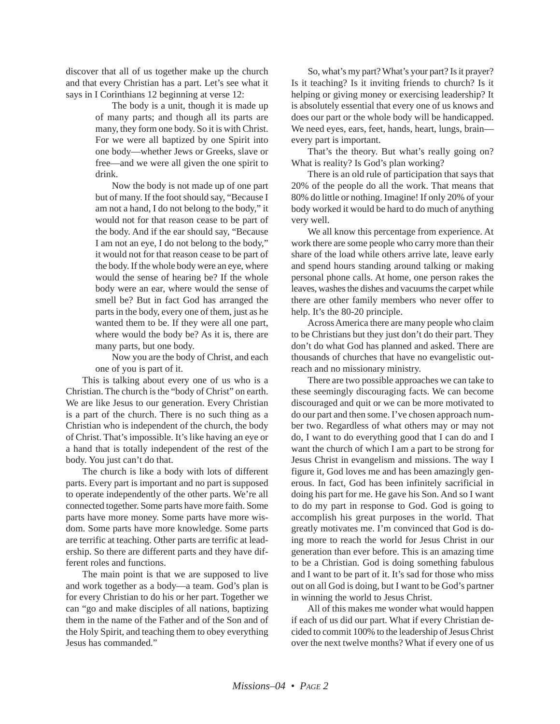discover that all of us together make up the church and that every Christian has a part. Let's see what it says in I Corinthians 12 beginning at verse 12:

> The body is a unit, though it is made up of many parts; and though all its parts are many, they form one body. So it is with Christ. For we were all baptized by one Spirit into one body—whether Jews or Greeks, slave or free—and we were all given the one spirit to drink.

> Now the body is not made up of one part but of many. If the foot should say, "Because I am not a hand, I do not belong to the body," it would not for that reason cease to be part of the body. And if the ear should say, "Because I am not an eye, I do not belong to the body," it would not for that reason cease to be part of the body. If the whole body were an eye, where would the sense of hearing be? If the whole body were an ear, where would the sense of smell be? But in fact God has arranged the parts in the body, every one of them, just as he wanted them to be. If they were all one part, where would the body be? As it is, there are many parts, but one body.

> Now you are the body of Christ, and each one of you is part of it.

This is talking about every one of us who is a Christian. The church is the "body of Christ" on earth. We are like Jesus to our generation. Every Christian is a part of the church. There is no such thing as a Christian who is independent of the church, the body of Christ. That's impossible. It's like having an eye or a hand that is totally independent of the rest of the body. You just can't do that.

The church is like a body with lots of different parts. Every part is important and no part is supposed to operate independently of the other parts. We're all connected together. Some parts have more faith. Some parts have more money. Some parts have more wisdom. Some parts have more knowledge. Some parts are terrific at teaching. Other parts are terrific at leadership. So there are different parts and they have different roles and functions.

The main point is that we are supposed to live and work together as a body—a team. God's plan is for every Christian to do his or her part. Together we can "go and make disciples of all nations, baptizing them in the name of the Father and of the Son and of the Holy Spirit, and teaching them to obey everything Jesus has commanded."

So, what's my part? What's your part? Is it prayer? Is it teaching? Is it inviting friends to church? Is it helping or giving money or exercising leadership? It is absolutely essential that every one of us knows and does our part or the whole body will be handicapped. We need eyes, ears, feet, hands, heart, lungs, brain every part is important.

That's the theory. But what's really going on? What is reality? Is God's plan working?

There is an old rule of participation that says that 20% of the people do all the work. That means that 80% do little or nothing. Imagine! If only 20% of your body worked it would be hard to do much of anything very well.

We all know this percentage from experience. At work there are some people who carry more than their share of the load while others arrive late, leave early and spend hours standing around talking or making personal phone calls. At home, one person rakes the leaves, washes the dishes and vacuums the carpet while there are other family members who never offer to help. It's the 80-20 principle.

Across America there are many people who claim to be Christians but they just don't do their part. They don't do what God has planned and asked. There are thousands of churches that have no evangelistic outreach and no missionary ministry.

There are two possible approaches we can take to these seemingly discouraging facts. We can become discouraged and quit or we can be more motivated to do our part and then some. I've chosen approach number two. Regardless of what others may or may not do, I want to do everything good that I can do and I want the church of which I am a part to be strong for Jesus Christ in evangelism and missions. The way I figure it, God loves me and has been amazingly generous. In fact, God has been infinitely sacrificial in doing his part for me. He gave his Son. And so I want to do my part in response to God. God is going to accomplish his great purposes in the world. That greatly motivates me. I'm convinced that God is doing more to reach the world for Jesus Christ in our generation than ever before. This is an amazing time to be a Christian. God is doing something fabulous and I want to be part of it. It's sad for those who miss out on all God is doing, but I want to be God's partner in winning the world to Jesus Christ.

All of this makes me wonder what would happen if each of us did our part. What if every Christian decided to commit 100% to the leadership of Jesus Christ over the next twelve months? What if every one of us